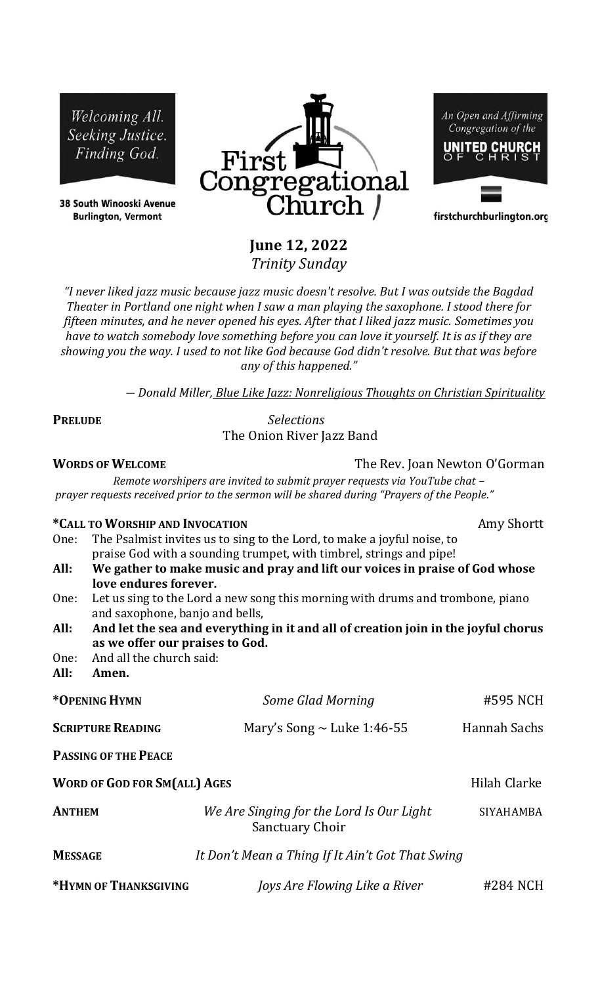Welcoming All. Seeking Justice. Finding God.

38 South Winooski Avenue **Burlington, Vermont** 



An Open and Affirming Congregation of the UNITED CHURCH

firstchurchburlington.org

**June 12, 2022** *Trinity Sunday*

*"I never liked jazz music because jazz music doesn't resolve. But I was outside the Bagdad Theater in Portland one night when I saw a man playing the saxophone. I stood there for fifteen minutes, and he never opened his eyes. After that I liked jazz music. Sometimes you have to watch somebody love something before you can love it yourself. It is as if they are showing you the way. I used to not like God because God didn't resolve. But that was before any of this happened."*

*― Donald Miller, Blue Like Jazz: Nonreligious Thoughts on Christian Spirituality*

**PRELUDE** *Selections*  The Onion River Jazz Band

**WORDS OF WELCOME The Rev. Joan Newton O'Gorman** 

*Remote worshipers are invited to submit prayer requests via YouTube chat – prayer requests received prior to the sermon will be shared during "Prayers of the People."*

| *CALL TO WORSHIP AND INVOCATION     |                                                                                                                                                |                                                                             | Amy Shortt       |  |
|-------------------------------------|------------------------------------------------------------------------------------------------------------------------------------------------|-----------------------------------------------------------------------------|------------------|--|
| One:                                | The Psalmist invites us to sing to the Lord, to make a joyful noise, to<br>praise God with a sounding trumpet, with timbrel, strings and pipe! |                                                                             |                  |  |
| All:                                |                                                                                                                                                | We gather to make music and pray and lift our voices in praise of God whose |                  |  |
|                                     | love endures forever.                                                                                                                          |                                                                             |                  |  |
| One:                                | Let us sing to the Lord a new song this morning with drums and trombone, piano<br>and saxophone, banjo and bells,                              |                                                                             |                  |  |
| All:                                | And let the sea and everything in it and all of creation join in the joyful chorus                                                             |                                                                             |                  |  |
|                                     | as we offer our praises to God.                                                                                                                |                                                                             |                  |  |
| One:                                | And all the church said:                                                                                                                       |                                                                             |                  |  |
| All:                                | Amen.                                                                                                                                          |                                                                             |                  |  |
| *OPENING HYMN                       |                                                                                                                                                | Some Glad Morning                                                           | #595 NCH         |  |
| <b>SCRIPTURE READING</b>            |                                                                                                                                                | Mary's Song $\sim$ Luke 1:46-55                                             | Hannah Sachs     |  |
|                                     | <b>PASSING OF THE PEACE</b>                                                                                                                    |                                                                             |                  |  |
| <b>WORD OF GOD FOR SM(ALL) AGES</b> |                                                                                                                                                |                                                                             | Hilah Clarke     |  |
| <b>ANTHEM</b>                       |                                                                                                                                                | We Are Singing for the Lord Is Our Light<br><b>Sanctuary Choir</b>          | <b>SIYAHAMBA</b> |  |
| <b>MESSAGE</b>                      |                                                                                                                                                | It Don't Mean a Thing If It Ain't Got That Swing                            |                  |  |
|                                     | *HYMN OF THANKSGIVING                                                                                                                          | Joys Are Flowing Like a River                                               | #284 NCH         |  |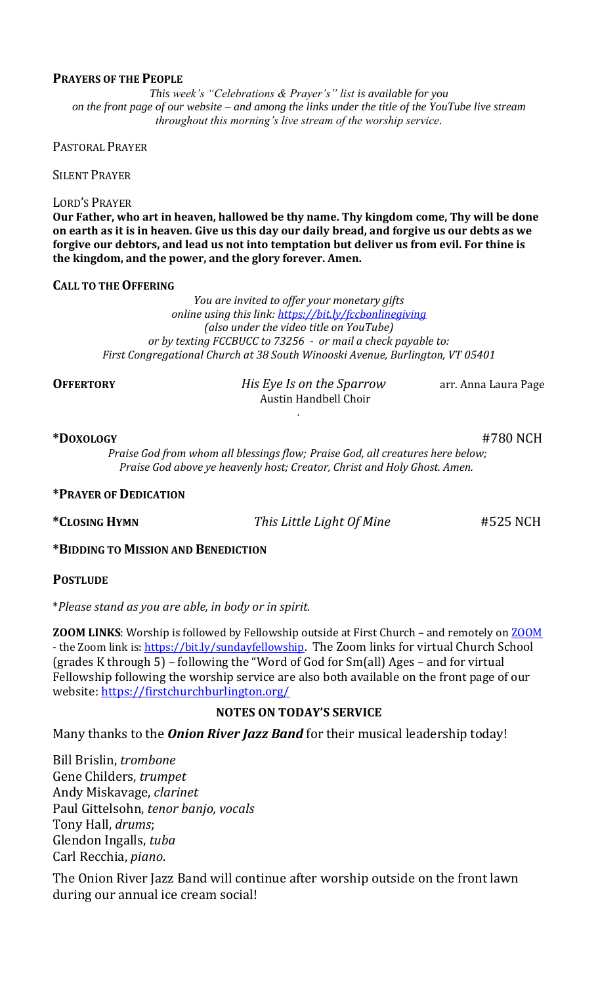#### **PRAYERS OF THE PEOPLE**

*This week's "Celebrations & Prayer's" list is available for you on the front page of our website – and among the links under the title of the YouTube live stream throughout this morning's live stream of the worship service.*

PASTORAL PRAYER

SILENT PRAYER

#### LORD'S PRAYER

**Our Father, who art in heaven, hallowed be thy name. Thy kingdom come, Thy will be done on earth as it is in heaven. Give us this day our daily bread, and forgive us our debts as we forgive our debtors, and lead us not into temptation but deliver us from evil. For thine is the kingdom, and the power, and the glory forever. Amen.**

#### **CALL TO THE OFFERING**

*You are invited to offer your monetary gifts online using this link:<https://bit.ly/fccbonlinegiving> (also under the video title on YouTube) or by texting FCCBUCC to 73256 - or mail a check payable to: First Congregational Church at 38 South Winooski Avenue, Burlington, VT 05401*

**OFFERTORY** *His Eye Is on the Sparrow* arr. Anna Laura Page Austin Handbell Choir

# **\*DOXOLOGY** #780 NCH

*Praise God from whom all blessings flow; Praise God, all creatures here below; Praise God above ye heavenly host; Creator, Christ and Holy Ghost. Amen.*

*.*

# **\*PRAYER OF DEDICATION**

**\*CLOSING HYMN** *This Little Light Of Mine* #525 NCH

# **\*BIDDING TO MISSION AND BENEDICTION**

**POSTLUDE**

\**Please stand as you are able, in body or in spirit.*

**ZOOM LINKS**: Worship is followed by Fellowship outside at First Church - and remotely on **ZOOM** - the Zoom link is: [https://bit.ly/sundayfellowship.](https://bit.ly/sundayfellowshipT) The Zoom links for virtual Church School (grades K through 5) – following the "Word of God for Sm(all) Ages – and for virtual Fellowship following the worship service are also both available on the front page of our website:<https://firstchurchburlington.org/>

# **NOTES ON TODAY'S SERVICE**

Many thanks to the *Onion River Jazz Band* for their musical leadership today!

Bill Brislin, *trombone* Gene Childers, *trumpet* Andy Miskavage, *clarinet* Paul Gittelsohn, *tenor banjo, vocals* Tony Hall, *drums*; Glendon Ingalls, *tuba* Carl Recchia, *piano*.

The Onion River Jazz Band will continue after worship outside on the front lawn during our annual ice cream social!